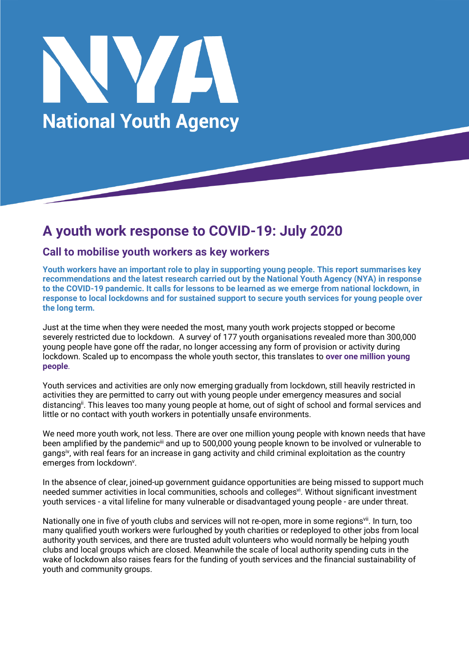

# **A youth work response to COVID-19: July 2020**

# **Call to mobilise youth workers as key workers**

**Youth workers have an important role to play in supporting young people. This report summarises key recommendations and the latest research carried out by the National Youth Agency (NYA) in response to the COVID-19 pandemic. It calls for lessons to be learned as we emerge from national lockdown, in response to local lockdowns and for sustained support to secure youth services for young people over the long term.**

Just at the time when they were needed the most, many youth work projects stopped or become severely restricted due to lockdown. A survey of 177 youth organisations revealed more than 300,000 young people have gone off the radar, no longer accessing any form of provision or activity during lockdown. Scaled up to encompass the whole youth sector, this translates to **over one million young people**.

Youth services and activities are only now emerging gradually from lockdown, still heavily restricted in activities they are permitted to carry out with young people under emergency measures and social distancing<sup>ii</sup>. This leaves too many young people at home, out of sight of school and formal services and little or no contact with youth workers in potentially unsafe environments.

We need more youth work, not less. There are over one million young people with known needs that have been amplified by the pandemiciii and up to 500,000 young people known to be involved or vulnerable to gangsiv, with real fears for an increase in gang activity and child criminal exploitation as the country emerges from lockdown<sup>v</sup>.

In the absence of clear, joined-up government guidance opportunities are being missed to support much needed summer activities in local communities, schools and colleges<sup>vi</sup>. Without significant investment youth services - a vital lifeline for many vulnerable or disadvantaged young people - are under threat.

Nationally one in five of youth clubs and services will not re-open, more in some regions<sup>vii</sup>. In turn, too many qualified youth workers were furloughed by youth charities or redeployed to other jobs from local authority youth services, and there are trusted adult volunteers who would normally be helping youth clubs and local groups which are closed. Meanwhile the scale of local authority spending cuts in the wake of lockdown also raises fears for the funding of youth services and the financial sustainability of youth and community groups.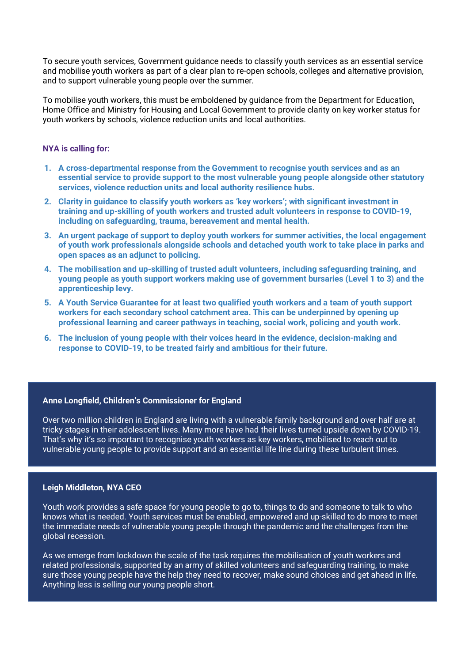To secure youth services, Government guidance needs to classify youth services as an essential service and mobilise youth workers as part of a clear plan to re-open schools, colleges and alternative provision, and to support vulnerable young people over the summer.

To mobilise youth workers, this must be emboldened by guidance from the Department for Education, Home Office and Ministry for Housing and Local Government to provide clarity on key worker status for youth workers by schools, violence reduction units and local authorities.

## **NYA is calling for:**

- **1. A cross-departmental response from the Government to recognise youth services and as an essential service to provide support to the most vulnerable young people alongside other statutory services, violence reduction units and local authority resilience hubs.**
- **2. Clarity in guidance to classify youth workers as 'key workers'; with significant investment in training and up-skilling of youth workers and trusted adult volunteers in response to COVID-19, including on safeguarding, trauma, bereavement and mental health.**
- **3. An urgent package of support to deploy youth workers for summer activities, the local engagement of youth work professionals alongside schools and detached youth work to take place in parks and open spaces as an adjunct to policing.**
- **4. The mobilisation and up-skilling of trusted adult volunteers, including safeguarding training, and young people as youth support workers making use of government bursaries (Level 1 to 3) and the apprenticeship levy.**
- **5. A Youth Service Guarantee for at least two qualified youth workers and a team of youth support workers for each secondary school catchment area. This can be underpinned by opening up professional learning and career pathways in teaching, social work, policing and youth work.**
- **6. The inclusion of young people with their voices heard in the evidence, decision-making and response to COVID-19, to be treated fairly and ambitious for their future.**

# **Anne Longfield, Children's Commissioner for England**

Over two million children in England are living with a vulnerable family background and over half are at tricky stages in their adolescent lives. Many more have had their lives turned upside down by COVID-19. That's why it's so important to recognise youth workers as key workers, mobilised to reach out to vulnerable young people to provide support and an essential life line during these turbulent times.

## **Leigh Middleton, NYA CEO**

Youth work provides a safe space for young people to go to, things to do and someone to talk to who knows what is needed. Youth services must be enabled, empowered and up-skilled to do more to meet the immediate needs of vulnerable young people through the pandemic and the challenges from the global recession.

As we emerge from lockdown the scale of the task requires the mobilisation of youth workers and related professionals, supported by an army of skilled volunteers and safeguarding training, to make sure those young people have the help they need to recover, make sound choices and get ahead in life. Anything less is selling our young people short.